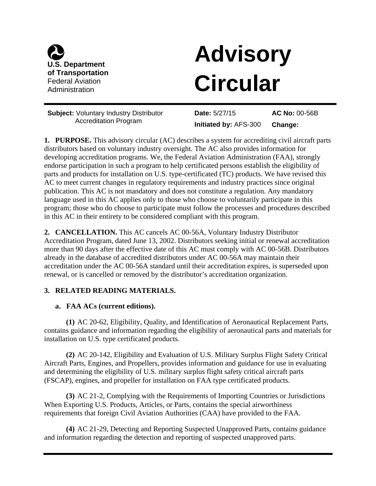

# **Consequent Consequent Consequent Consequent Consequent Consequent Consequent Consequent Consequent Consequent Consequent Consequent Consequent Consequent Consequent Consequent Consequent Consequent Consequent Consequent C** of Transportation<br>Federal Aviation<br>Administration

Accreditation Program **Initiated by:** AFS-300 **Change:** 

Change: **Subject:** Voluntary Industry Distributor **Date:** 5/27/15 **AC No:** 00-56B

**1. PURPOSE.** This advisory circular (AC) describes a system for accrediting civil aircraft parts distributors based on voluntary industry oversight. The AC also provides information for developing accreditation programs. We, the Federal Aviation Administration (FAA), strongly endorse participation in such a program to help certificated persons establish the eligibility of parts and products for installation on U.S. type-certificated (TC) products. We have revised this AC to meet current changes in regulatory requirements and industry practices since original publication. This AC is not mandatory and does not constitute a regulation. Any mandatory language used in this AC applies only to those who choose to voluntarily participate in this program; those who do choose to participate must follow the processes and procedures described in this AC in their entirety to be considered compliant with this program.

**2. CANCELLATION.** This AC cancels AC 00-56A, Voluntary Industry Distributor Accreditation Program, dated June 13, 2002. Distributors seeking initial or renewal accreditation more than 90 days after the effective date of this AC must comply with AC 00-56B. Distributors already in the database of accredited distributors under AC 00-56A may maintain their accreditation under the AC 00-56A standard until their accreditation expires, is superseded upon renewal, or is cancelled or removed by the distributor's accreditation organization.

# **3. RELATED READING MATERIALS.**

## **a. FAA ACs (current editions).**

**(1)** AC 20-62, Eligibility, Quality, and Identification of Aeronautical Replacement Parts, contains guidance and information regarding the eligibility of aeronautical parts and materials for installation on U.S. type certificated products.

**(2)** AC 20-142, Eligibility and Evaluation of U.S. Military Surplus Flight Safety Critical Aircraft Parts, Engines, and Propellers, provides information and guidance for use in evaluating and determining the eligibility of U.S. military surplus flight safety critical aircraft parts (FSCAP), engines, and propeller for installation on FAA type certificated products.

**(3)** AC 21-2, Complying with the Requirements of Importing Countries or Jurisdictions When Exporting U.S. Products, Articles, or Parts, contains the special airworthiness requirements that foreign Civil Aviation Authorities (CAA) have provided to the FAA.

**(4)** AC 21-29, Detecting and Reporting Suspected Unapproved Parts, contains guidance and information regarding the detection and reporting of suspected unapproved parts.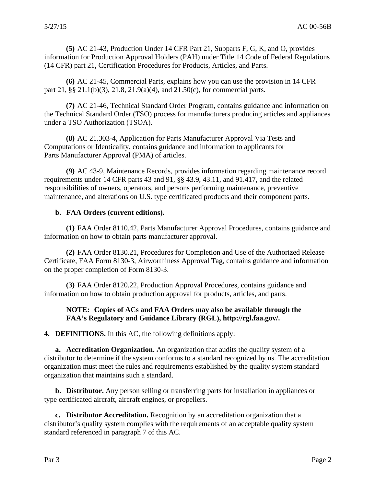**(5)** AC 21-43, Production Under 14 CFR Part 21, Subparts F, G, K, and O, provides information for Production Approval Holders (PAH) under Title 14 Code of Federal Regulations (14 CFR) part 21, Certification Procedures for Products, Articles, and Parts.

**(6)** AC 21-45, Commercial Parts, explains how you can use the provision in 14 CFR part 21, §§ 21.1(b)(3), 21.8, 21.9(a)(4), and 21.50(c), for commercial parts.

**(7)** AC 21-46, Technical Standard Order Program, contains guidance and information on the Technical Standard Order (TSO) process for manufacturers producing articles and appliances under a TSO Authorization (TSOA).

**(8)** AC 21.303-4, Application for Parts Manufacturer Approval Via Tests and Computations or Identicality, contains guidance and information to applicants for Parts Manufacturer Approval (PMA) of articles.

**(9)** AC 43-9, Maintenance Records, provides information regarding maintenance record requirements under 14 CFR parts 43 and 91, §§ 43.9, 43.11, and 91.417, and the related responsibilities of owners, operators, and persons performing maintenance, preventive maintenance, and alterations on U.S. type certificated products and their component parts.

## **b. FAA Orders (current editions).**

**(1)** FAA Order 8110.42, Parts Manufacturer Approval Procedures, contains guidance and information on how to obtain parts manufacturer approval.

**(2)** FAA Order 8130.21, Procedures for Completion and Use of the Authorized Release Certificate, FAA Form 8130-3, Airworthiness Approval Tag, contains guidance and information on the proper completion of Form 8130-3.

**(3)** FAA Order 8120.22, Production Approval Procedures, contains guidance and information on how to obtain production approval for products, articles, and parts.

#### **NOTE: Copies of ACs and FAA Orders may also be available through the FAA's Regulatory and Guidance Library (RGL), http://rgl.faa.gov/.**

**4. DEFINITIONS.** In this AC, the following definitions apply:

**a. Accreditation Organization.** An organization that audits the quality system of a distributor to determine if the system conforms to a standard recognized by us. The accreditation organization must meet the rules and requirements established by the quality system standard organization that maintains such a standard.

**b. Distributor.** Any person selling or transferring parts for installation in appliances or type certificated aircraft, aircraft engines, or propellers.

**c. Distributor Accreditation.** Recognition by an accreditation organization that a distributor's quality system complies with the requirements of an acceptable quality system standard referenced in paragraph 7 of this AC.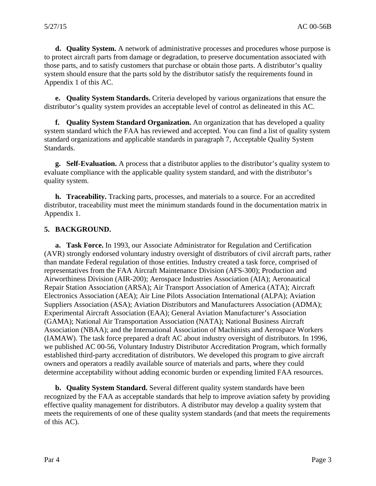**d. Quality System.** A network of administrative processes and procedures whose purpose is to protect aircraft parts from damage or degradation, to preserve documentation associated with those parts, and to satisfy customers that purchase or obtain those parts. A distributor's quality system should ensure that the parts sold by the distributor satisfy the requirements found in Appendix 1 of this AC.

**e. Quality System Standards.** Criteria developed by various organizations that ensure the distributor's quality system provides an acceptable level of control as delineated in this AC.

**f. Quality System Standard Organization.** An organization that has developed a quality system standard which the FAA has reviewed and accepted. You can find a list of quality system standard organizations and applicable standards in paragraph 7, Acceptable Quality System Standards.

**g. Self-Evaluation.** A process that a distributor applies to the distributor's quality system to evaluate compliance with the applicable quality system standard, and with the distributor's quality system.

**h. Traceability.** Tracking parts, processes, and materials to a source. For an accredited distributor, traceability must meet the minimum standards found in the documentation matrix in Appendix 1.

## **5. BACKGROUND.**

**a. Task Force.** In 1993, our Associate Administrator for Regulation and Certification (AVR) strongly endorsed voluntary industry oversight of distributors of civil aircraft parts, rather than mandate Federal regulation of those entities. Industry created a task force, comprised of representatives from the FAA Aircraft Maintenance Division (AFS-300); Production and Airworthiness Division (AIR-200); Aerospace Industries Association (AIA); Aeronautical Repair Station Association (ARSA); Air Transport Association of America (ATA); Aircraft Electronics Association (AEA); Air Line Pilots Association International (ALPA); Aviation Suppliers Association (ASA); Aviation Distributors and Manufacturers Association (ADMA); Experimental Aircraft Association (EAA); General Aviation Manufacturer's Association (GAMA); National Air Transportation Association (NATA); National Business Aircraft Association (NBAA); and the International Association of Machinists and Aerospace Workers (IAMAW). The task force prepared a draft AC about industry oversight of distributors. In 1996, we published AC 00-56, Voluntary Industry Distributor Accreditation Program, which formally established third-party accreditation of distributors. We developed this program to give aircraft owners and operators a readily available source of materials and parts, where they could determine acceptability without adding economic burden or expending limited FAA resources.

**b. Quality System Standard.** Several different quality system standards have been recognized by the FAA as acceptable standards that help to improve aviation safety by providing effective quality management for distributors. A distributor may develop a quality system that meets the requirements of one of these quality system standards (and that meets the requirements of this AC).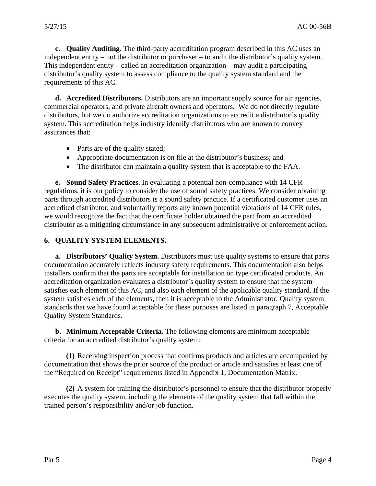**c. Quality Auditing.** The third-party accreditation program described in this AC uses an independent entity – not the distributor or purchaser – to audit the distributor's quality system. This independent entity – called an accreditation organization – may audit a participating distributor's quality system to assess compliance to the quality system standard and the requirements of this AC.

**d. Accredited Distributors.** Distributors are an important supply source for air agencies, commercial operators, and private aircraft owners and operators. We do not directly regulate distributors, but we do authorize accreditation organizations to accredit a distributor's quality system. This accreditation helps industry identify distributors who are known to convey assurances that:

- Parts are of the quality stated;
- Appropriate documentation is on file at the distributor's business; and
- The distributor can maintain a quality system that is acceptable to the FAA.

**e. Sound Safety Practices.** In evaluating a potential non-compliance with 14 CFR regulations, it is our policy to consider the use of sound safety practices. We consider obtaining parts through accredited distributors is a sound safety practice. If a certificated customer uses an accredited distributor, and voluntarily reports any known potential violations of 14 CFR rules, we would recognize the fact that the certificate holder obtained the part from an accredited distributor as a mitigating circumstance in any subsequent administrative or enforcement action.

#### **6. QUALITY SYSTEM ELEMENTS.**

**a. Distributors' Quality System.** Distributors must use quality systems to ensure that parts documentation accurately reflects industry safety requirements. This documentation also helps installers confirm that the parts are acceptable for installation on type certificated products. An accreditation organization evaluates a distributor's quality system to ensure that the system satisfies each element of this AC, and also each element of the applicable quality standard. If the system satisfies each of the elements, then it is acceptable to the Administrator. Quality system standards that we have found acceptable for these purposes are listed in paragraph 7, Acceptable Quality System Standards.

**b. Minimum Acceptable Criteria.** The following elements are minimum acceptable criteria for an accredited distributor's quality system:

**(1)** Receiving inspection process that confirms products and articles are accompanied by documentation that shows the prior source of the product or article and satisfies at least one of the "Required on Receipt" requirements listed in Appendix 1, Documentation Matrix.

**(2)** A system for training the distributor's personnel to ensure that the distributor properly executes the quality system, including the elements of the quality system that fall within the trained person's responsibility and/or job function.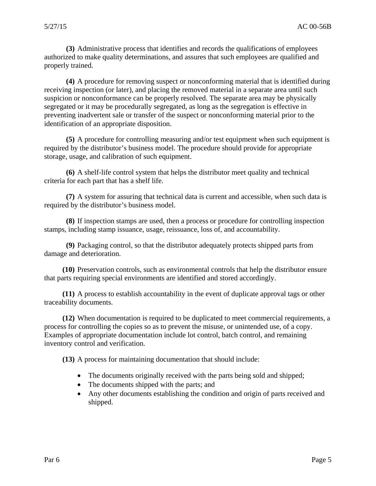**(3)** Administrative process that identifies and records the qualifications of employees authorized to make quality determinations, and assures that such employees are qualified and properly trained.

**(4)** A procedure for removing suspect or nonconforming material that is identified during receiving inspection (or later), and placing the removed material in a separate area until such suspicion or nonconformance can be properly resolved. The separate area may be physically segregated or it may be procedurally segregated, as long as the segregation is effective in preventing inadvertent sale or transfer of the suspect or nonconforming material prior to the identification of an appropriate disposition.

**(5)** A procedure for controlling measuring and/or test equipment when such equipment is required by the distributor's business model. The procedure should provide for appropriate storage, usage, and calibration of such equipment.

**(6)** A shelf-life control system that helps the distributor meet quality and technical criteria for each part that has a shelf life.

**(7)** A system for assuring that technical data is current and accessible, when such data is required by the distributor's business model.

**(8)** If inspection stamps are used, then a process or procedure for controlling inspection stamps, including stamp issuance, usage, reissuance, loss of, and accountability.

**(9)** Packaging control, so that the distributor adequately protects shipped parts from damage and deterioration.

**(10)** Preservation controls, such as environmental controls that help the distributor ensure that parts requiring special environments are identified and stored accordingly.

**(11)** A process to establish accountability in the event of duplicate approval tags or other traceability documents.

**(12)** When documentation is required to be duplicated to meet commercial requirements, a process for controlling the copies so as to prevent the misuse, or unintended use, of a copy. Examples of appropriate documentation include lot control, batch control, and remaining inventory control and verification.

**(13)** A process for maintaining documentation that should include:

- The documents originally received with the parts being sold and shipped;
- The documents shipped with the parts; and
- Any other documents establishing the condition and origin of parts received and shipped.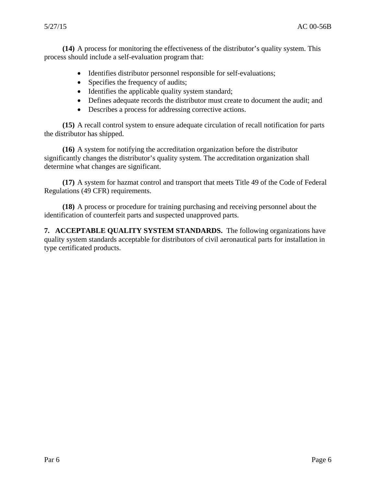**(14)** A process for monitoring the effectiveness of the distributor's quality system. This process should include a self-evaluation program that:

- Identifies distributor personnel responsible for self-evaluations;
- Specifies the frequency of audits;
- Identifies the applicable quality system standard;
- Defines adequate records the distributor must create to document the audit; and
- Describes a process for addressing corrective actions.

**(15)** A recall control system to ensure adequate circulation of recall notification for parts the distributor has shipped.

**(16)** A system for notifying the accreditation organization before the distributor significantly changes the distributor's quality system. The accreditation organization shall determine what changes are significant.

**(17)** A system for hazmat control and transport that meets Title 49 of the Code of Federal Regulations (49 CFR) requirements.

**(18)** A process or procedure for training purchasing and receiving personnel about the identification of counterfeit parts and suspected unapproved parts.

**7. ACCEPTABLE QUALITY SYSTEM STANDARDS.** The following organizations have quality system standards acceptable for distributors of civil aeronautical parts for installation in type certificated products.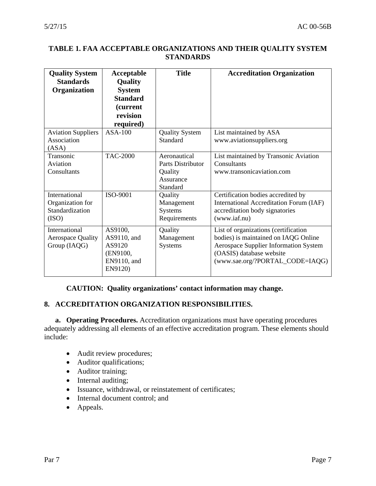## **TABLE 1. FAA ACCEPTABLE ORGANIZATIONS AND THEIR QUALITY SYSTEM STANDARDS**

| <b>Quality System</b><br><b>Standards</b><br>Organization     | Acceptable<br>Quality<br><b>System</b><br><b>Standard</b><br>(current<br>revision<br>required) | <b>Title</b>                                                          | <b>Accreditation Organization</b>                                                                                                                                                    |
|---------------------------------------------------------------|------------------------------------------------------------------------------------------------|-----------------------------------------------------------------------|--------------------------------------------------------------------------------------------------------------------------------------------------------------------------------------|
| <b>Aviation Suppliers</b><br>Association<br>(ASA)             | $ASA-100$                                                                                      | <b>Quality System</b><br>Standard                                     | List maintained by ASA<br>www.aviationsuppliers.org                                                                                                                                  |
| Transonic<br>Aviation<br>Consultants                          | <b>TAC-2000</b>                                                                                | Aeronautical<br>Parts Distributor<br>Quality<br>Assurance<br>Standard | List maintained by Transonic Aviation<br>Consultants<br>www.transonicaviation.com                                                                                                    |
| International<br>Organization for<br>Standardization<br>(ISO) | ISO-9001                                                                                       | Quality<br>Management<br>Systems<br>Requirements                      | Certification bodies accredited by<br><b>International Accreditation Forum (IAF)</b><br>accreditation body signatories<br>(www.iaf.nu)                                               |
| International<br><b>Aerospace Quality</b><br>Group (IAQG)     | AS9100,<br>AS9110, and<br>AS9120<br>(EN9100,<br>EN9110, and<br>EN9120)                         | Quality<br>Management<br>Systems                                      | List of organizations (certification<br>bodies) is maintained on IAQG Online<br>Aerospace Supplier Information System<br>(OASIS) database website<br>(www.sae.org/?PORTAL_CODE=IAQG) |

## **CAUTION: Quality organizations' contact information may change.**

# **8. ACCREDITATION ORGANIZATION RESPONSIBILITIES.**

**a. Operating Procedures.** Accreditation organizations must have operating procedures adequately addressing all elements of an effective accreditation program. These elements should include:

- Audit review procedures;
- Auditor qualifications;
- Auditor training;
- Internal auditing;
- Issuance, withdrawal, or reinstatement of certificates;
- Internal document control; and
- Appeals.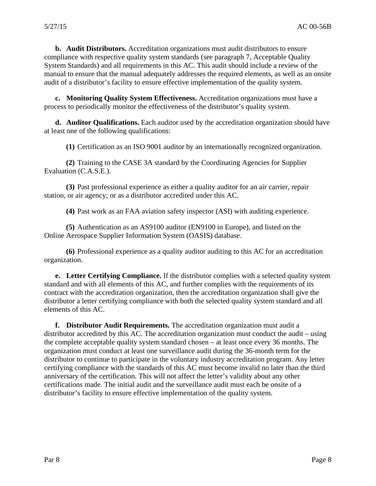**b. Audit Distributors.** Accreditation organizations must audit distributors to ensure compliance with respective quality system standards (see paragraph 7, Acceptable Quality System Standards) and all requirements in this AC. This audit should include a review of the manual to ensure that the manual adequately addresses the required elements, as well as an onsite audit of a distributor's facility to ensure effective implementation of the quality system.

**c. Monitoring Quality System Effectiveness.** Accreditation organizations must have a process to periodically monitor the effectiveness of the distributor's quality system.

**d. Auditor Qualifications.** Each auditor used by the accreditation organization should have at least one of the following qualifications:

**(1)** Certification as an ISO 9001 auditor by an internationally recognized organization.

**(2)** Training to the CASE 3A standard by the Coordinating Agencies for Supplier Evaluation (C.A.S.E.).

**(3)** Past professional experience as either a quality auditor for an air carrier, repair station, or air agency; or as a distributor accredited under this AC.

**(4)** Past work as an FAA aviation safety inspector (ASI) with auditing experience.

**(5)** Authentication as an AS9100 auditor (EN9100 in Europe), and listed on the Online Aerospace Supplier Information System (OASIS) database.

**(6)** Professional experience as a quality auditor auditing to this AC for an accreditation organization.

**e. Letter Certifying Compliance.** If the distributor complies with a selected quality system standard and with all elements of this AC, and further complies with the requirements of its contract with the accreditation organization, then the accreditation organization shall give the distributor a letter certifying compliance with both the selected quality system standard and all elements of this AC.

**f. Distributor Audit Requirements.** The accreditation organization must audit a distributor accredited by this AC. The accreditation organization must conduct the audit – using the complete acceptable quality system standard chosen – at least once every 36 months. The organization must conduct at least one surveillance audit during the 36-month term for the distributor to continue to participate in the voluntary industry accreditation program. Any letter certifying compliance with the standards of this AC must become invalid no later than the third anniversary of the certification. This will not affect the letter's validity about any other certifications made. The initial audit and the surveillance audit must each be onsite of a distributor's facility to ensure effective implementation of the quality system.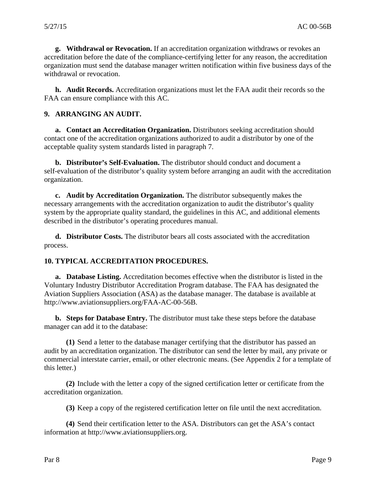**g. Withdrawal or Revocation.** If an accreditation organization withdraws or revokes an accreditation before the date of the compliance-certifying letter for any reason, the accreditation organization must send the database manager written notification within five business days of the withdrawal or revocation.

**h. Audit Records.** Accreditation organizations must let the FAA audit their records so the FAA can ensure compliance with this AC.

#### **9. ARRANGING AN AUDIT.**

**a. Contact an Accreditation Organization.** Distributors seeking accreditation should contact one of the accreditation organizations authorized to audit a distributor by one of the acceptable quality system standards listed in paragraph 7.

**b. Distributor's Self-Evaluation.** The distributor should conduct and document a self-evaluation of the distributor's quality system before arranging an audit with the accreditation organization.

**c. Audit by Accreditation Organization.** The distributor subsequently makes the necessary arrangements with the accreditation organization to audit the distributor's quality system by the appropriate quality standard, the guidelines in this AC, and additional elements described in the distributor's operating procedures manual.

**d. Distributor Costs.** The distributor bears all costs associated with the accreditation process.

#### **10. TYPICAL ACCREDITATION PROCEDURES.**

**a. Database Listing.** Accreditation becomes effective when the distributor is listed in the Voluntary Industry Distributor Accreditation Program database. The FAA has designated the Aviation Suppliers Association (ASA) as the database manager. The database is available at http://www.aviationsuppliers.org/FAA-AC-00-56B.

**b. Steps for Database Entry.** The distributor must take these steps before the database manager can add it to the database:

**(1)** Send a letter to the database manager certifying that the distributor has passed an audit by an accreditation organization. The distributor can send the letter by mail, any private or commercial interstate carrier, email, or other electronic means. (See Appendix 2 for a template of this letter.)

**(2)** Include with the letter a copy of the signed certification letter or certificate from the accreditation organization.

**(3)** Keep a copy of the registered certification letter on file until the next accreditation.

**(4)** Send their certification letter to the ASA. Distributors can get the ASA's contact information at http://www.aviationsuppliers.org.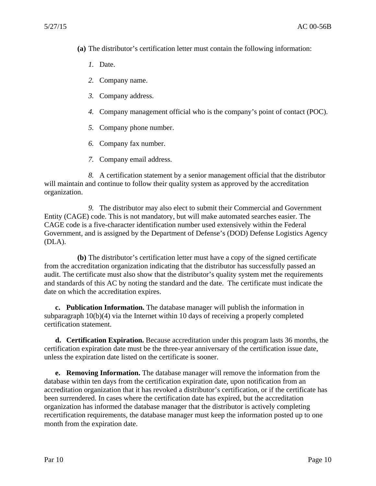- **(a)** The distributor's certification letter must contain the following information:
	- *1.* Date.
	- *2.* Company name.
	- *3.* Company address.
	- *4.* Company management official who is the company's point of contact (POC).
	- *5.* Company phone number.
	- *6.* Company fax number.
	- *7.* Company email address.

*8.* A certification statement by a senior management official that the distributor will maintain and continue to follow their quality system as approved by the accreditation organization.

*9.* The distributor may also elect to submit their Commercial and Government Entity (CAGE) code. This is not mandatory, but will make automated searches easier. The CAGE code is a five-character identification number used extensively within the Federal Government, and is assigned by the Department of Defense's (DOD) Defense Logistics Agency (DLA).

**(b)** The distributor's certification letter must have a copy of the signed certificate from the accreditation organization indicating that the distributor has successfully passed an audit. The certificate must also show that the distributor's quality system met the requirements and standards of this AC by noting the standard and the date. The certificate must indicate the date on which the accreditation expires.

**c. Publication Information.** The database manager will publish the information in subparagraph  $10(b)(4)$  via the Internet within 10 days of receiving a properly completed certification statement.

**d. Certification Expiration.** Because accreditation under this program lasts 36 months, the certification expiration date must be the three-year anniversary of the certification issue date, unless the expiration date listed on the certificate is sooner.

**e. Removing Information.** The database manager will remove the information from the database within ten days from the certification expiration date, upon notification from an accreditation organization that it has revoked a distributor's certification, or if the certificate has been surrendered. In cases where the certification date has expired, but the accreditation organization has informed the database manager that the distributor is actively completing recertification requirements, the database manager must keep the information posted up to one month from the expiration date.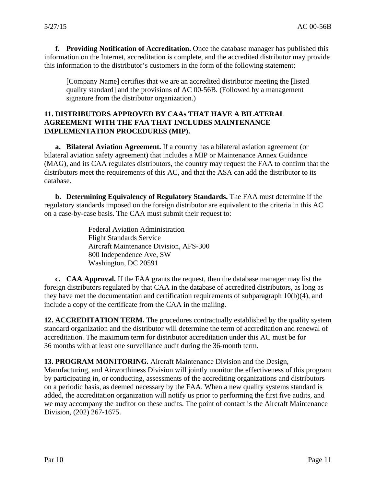**f. Providing Notification of Accreditation.** Once the database manager has published this information on the Internet, accreditation is complete, and the accredited distributor may provide this information to the distributor's customers in the form of the following statement:

[Company Name] certifies that we are an accredited distributor meeting the [listed quality standard] and the provisions of AC 00-56B. (Followed by a management signature from the distributor organization.)

## **11. DISTRIBUTORS APPROVED BY CAAs THAT HAVE A BILATERAL AGREEMENT WITH THE FAA THAT INCLUDES MAINTENANCE IMPLEMENTATION PROCEDURES (MIP).**

**a. Bilateral Aviation Agreement.** If a country has a bilateral aviation agreement (or bilateral aviation safety agreement) that includes a MIP or Maintenance Annex Guidance (MAG), and its CAA regulates distributors, the country may request the FAA to confirm that the distributors meet the requirements of this AC, and that the ASA can add the distributor to its database.

**b. Determining Equivalency of Regulatory Standards.** The FAA must determine if the regulatory standards imposed on the foreign distributor are equivalent to the criteria in this AC on a case-by-case basis. The CAA must submit their request to:

> Federal Aviation Administration Flight Standards Service Aircraft Maintenance Division, AFS-300 800 Independence Ave, SW Washington, DC 20591

**c. CAA Approval.** If the FAA grants the request, then the database manager may list the foreign distributors regulated by that CAA in the database of accredited distributors, as long as they have met the documentation and certification requirements of subparagraph 10(b)(4), and include a copy of the certificate from the CAA in the mailing.

**12. ACCREDITATION TERM.** The procedures contractually established by the quality system standard organization and the distributor will determine the term of accreditation and renewal of accreditation. The maximum term for distributor accreditation under this AC must be for 36 months with at least one surveillance audit during the 36-month term.

**13. PROGRAM MONITORING.** Aircraft Maintenance Division and the Design, Manufacturing, and Airworthiness Division will jointly monitor the effectiveness of this program by participating in, or conducting, assessments of the accrediting organizations and distributors on a periodic basis, as deemed necessary by the FAA. When a new quality systems standard is added, the accreditation organization will notify us prior to performing the first five audits, and we may accompany the auditor on these audits. The point of contact is the Aircraft Maintenance Division, (202) 267-1675.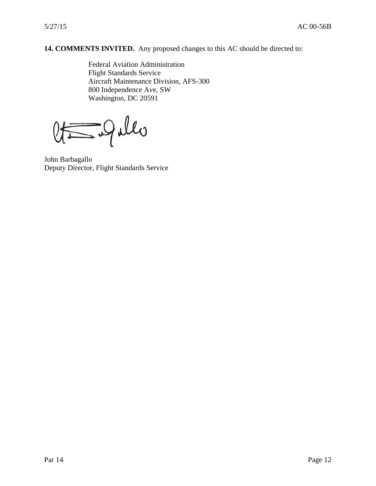# **14. COMMENTS INVITED.** Any proposed changes to this AC should be directed to:

Federal Aviation Administration Flight Standards Service Aircraft Maintenance Division, AFS-300 800 Independence Ave, SW Washington, DC 20591

- Jules

John Barbagallo Deputy Director, Flight Standards Service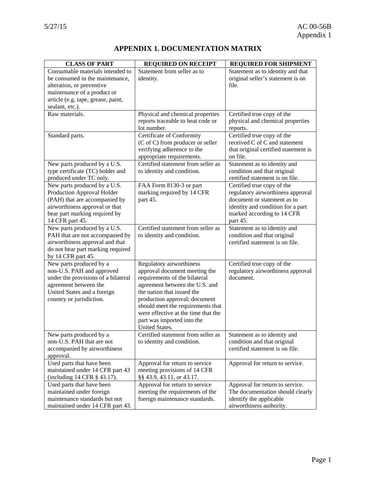# **APPENDIX 1. DOCUMENTATION MATRIX**

| <b>CLASS OF PART</b>                | <b>REQUIRED ON RECEIPT</b>          | <b>REQUIRED FOR SHIPMENT</b>         |
|-------------------------------------|-------------------------------------|--------------------------------------|
| Consumable materials intended to    | Statement from seller as to         | Statement as to identity and that    |
| be consumed in the maintenance,     | identity.                           | original seller's statement is on    |
| alteration, or preventive           |                                     | file.                                |
| maintenance of a product or         |                                     |                                      |
| article (e.g. tape, grease, paint,  |                                     |                                      |
| sealant, etc.).                     |                                     |                                      |
| $\overline{R}$ aw materials.        | Physical and chemical properties    | Certified true copy of the           |
|                                     | reports traceable to heat code or   | physical and chemical properties     |
|                                     | lot number.                         | reports.                             |
| Standard parts.                     | Certificate of Conformity           | Certified true copy of the           |
|                                     | (C of C) from producer or seller    | received C of C and statement        |
|                                     | verifying adherence to the          | that original certified statement is |
|                                     | appropriate requirements.           | on file.                             |
| New parts produced by a U.S.        | Certified statement from seller as  | Statement as to identity and         |
| type certificate (TC) holder and    | to identity and condition.          | condition and that original          |
| produced under TC only.             |                                     | certified statement is on file.      |
| New parts produced by a U.S.        | FAA Form 8130-3 or part             | Certified true copy of the           |
| Production Approval Holder          | marking required by 14 CFR          | regulatory airworthiness approval    |
| (PAH) that are accompanied by       | part 45.                            | document or statement as to          |
| airworthiness approval or that      |                                     | identity and condition for a part    |
| bear part marking required by       |                                     | marked according to 14 CFR           |
| 14 CFR part 45.                     |                                     | part 45.                             |
| New parts produced by a U.S.        | Certified statement from seller as  | Statement as to identity and         |
| PAH that are not accompanied by     | to identity and condition.          | condition and that original          |
| airworthiness approval and that     |                                     | certified statement is on file.      |
| do not bear part marking required   |                                     |                                      |
| by 14 CFR part 45.                  |                                     |                                      |
| New parts produced by a             | Regulatory airworthiness            | Certified true copy of the           |
| non-U.S. PAH and approved           | approval document meeting the       | regulatory airworthiness approval    |
| under the provisions of a bilateral | requirements of the bilateral       | document.                            |
| agreement between the               | agreement between the U.S. and      |                                      |
| United States and a foreign         | the nation that issued the          |                                      |
| country or jurisdiction.            | production approval; document       |                                      |
|                                     | should meet the requirements that   |                                      |
|                                     | were effective at the time that the |                                      |
|                                     | part was imported into the          |                                      |
|                                     | United States.                      |                                      |
| New parts produced by a             | Certified statement from seller as  | Statement as to identity and         |
| non-U.S. PAH that are not           | to identity and condition.          | condition and that original          |
| accompanied by airworthiness        |                                     | certified statement is on file.      |
| approval.                           |                                     |                                      |
| Used parts that have been           | Approval for return to service      | Approval for return to service.      |
| maintained under 14 CFR part 43     | meeting provisions of 14 CFR        |                                      |
| (including 14 CFR § 43.17).         | §§ 43.9, 43.11, or 43.17.           |                                      |
| Used parts that have been           | Approval for return to service      | Approval for return to service.      |
| maintained under foreign            | meeting the requirements of the     | The documentation should clearly     |
| maintenance standards but not       | foreign maintenance standards.      | identify the applicable              |
| maintained under 14 CFR part 43.    |                                     | airworthiness authority.             |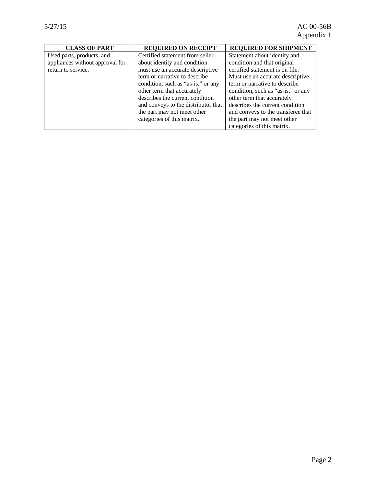| <b>CLASS OF PART</b>            | <b>REQUIRED ON RECEIPT</b>          | <b>REQUIRED FOR SHIPMENT</b>       |
|---------------------------------|-------------------------------------|------------------------------------|
| Used parts, products, and       | Certified statement from seller     | Statement about identity and       |
| appliances without approval for | about identity and condition -      | condition and that original        |
| return to service.              | must use an accurate descriptive    | certified statement is on file.    |
|                                 | term or narrative to describe       | Must use an accurate descriptive   |
|                                 | condition, such as "as-is," or any  | term or narrative to describe      |
|                                 | other term that accurately          | condition, such as "as-is," or any |
|                                 | describes the current condition     | other term that accurately         |
|                                 | and conveys to the distributor that | describes the current condition    |
|                                 | the part may not meet other         | and conveys to the transferee that |
|                                 | categories of this matrix.          | the part may not meet other        |
|                                 |                                     | categories of this matrix.         |